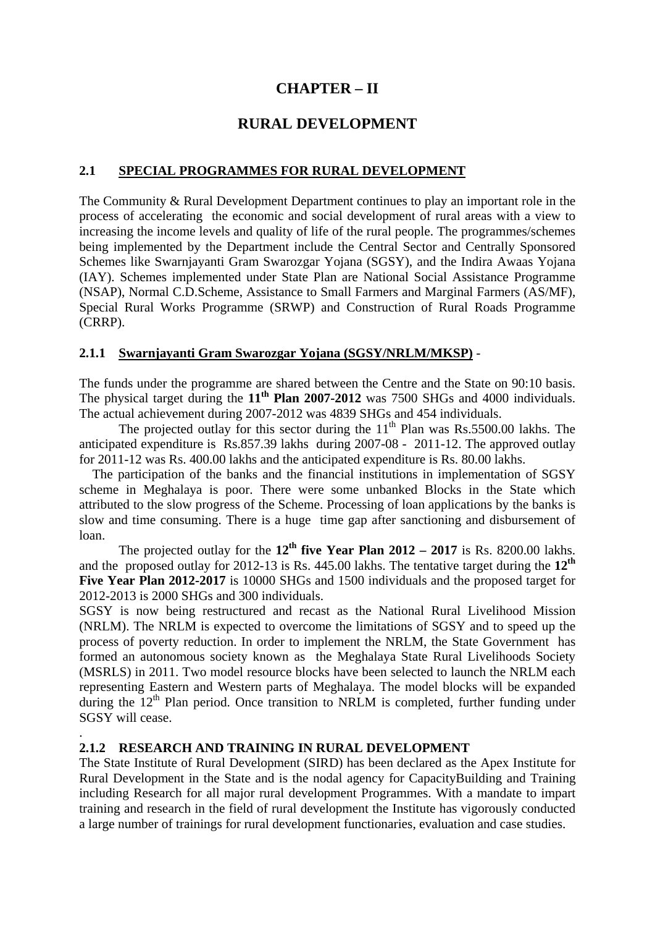# **CHAPTER – II**

# **RURAL DEVELOPMENT**

### **2.1 SPECIAL PROGRAMMES FOR RURAL DEVELOPMENT**

The Community & Rural Development Department continues to play an important role in the process of accelerating the economic and social development of rural areas with a view to increasing the income levels and quality of life of the rural people. The programmes/schemes being implemented by the Department include the Central Sector and Centrally Sponsored Schemes like Swarnjayanti Gram Swarozgar Yojana (SGSY), and the Indira Awaas Yojana (IAY). Schemes implemented under State Plan are National Social Assistance Programme (NSAP), Normal C.D.Scheme, Assistance to Small Farmers and Marginal Farmers (AS/MF), Special Rural Works Programme (SRWP) and Construction of Rural Roads Programme (CRRP).

#### **2.1.1 Swarnjayanti Gram Swarozgar Yojana (SGSY/NRLM/MKSP)** -

The funds under the programme are shared between the Centre and the State on 90:10 basis. The physical target during the 11<sup>th</sup> Plan 2007-2012 was 7500 SHGs and 4000 individuals. The actual achievement during 2007-2012 was 4839 SHGs and 454 individuals.

The projected outlay for this sector during the  $11<sup>th</sup>$  Plan was Rs.5500.00 lakhs. The anticipated expenditure is Rs.857.39 lakhs during 2007-08 - 2011-12. The approved outlay for 2011-12 was Rs. 400.00 lakhs and the anticipated expenditure is Rs. 80.00 lakhs.

 The participation of the banks and the financial institutions in implementation of SGSY scheme in Meghalaya is poor. There were some unbanked Blocks in the State which attributed to the slow progress of the Scheme. Processing of loan applications by the banks is slow and time consuming. There is a huge time gap after sanctioning and disbursement of loan.

The projected outlay for the  $12^{th}$  five Year Plan  $2012 - 2017$  is Rs. 8200.00 lakhs. and the proposed outlay for 2012-13 is Rs. 445.00 lakhs. The tentative target during the **12th Five Year Plan 2012-2017** is 10000 SHGs and 1500 individuals and the proposed target for 2012-2013 is 2000 SHGs and 300 individuals.

SGSY is now being restructured and recast as the National Rural Livelihood Mission (NRLM). The NRLM is expected to overcome the limitations of SGSY and to speed up the process of poverty reduction. In order to implement the NRLM, the State Government has formed an autonomous society known as the Meghalaya State Rural Livelihoods Society (MSRLS) in 2011. Two model resource blocks have been selected to launch the NRLM each representing Eastern and Western parts of Meghalaya. The model blocks will be expanded during the  $12<sup>th</sup>$  Plan period. Once transition to NRLM is completed, further funding under SGSY will cease.

#### **2.1.2 RESEARCH AND TRAINING IN RURAL DEVELOPMENT**

.

The State Institute of Rural Development (SIRD) has been declared as the Apex Institute for Rural Development in the State and is the nodal agency for CapacityBuilding and Training including Research for all major rural development Programmes. With a mandate to impart training and research in the field of rural development the Institute has vigorously conducted a large number of trainings for rural development functionaries, evaluation and case studies.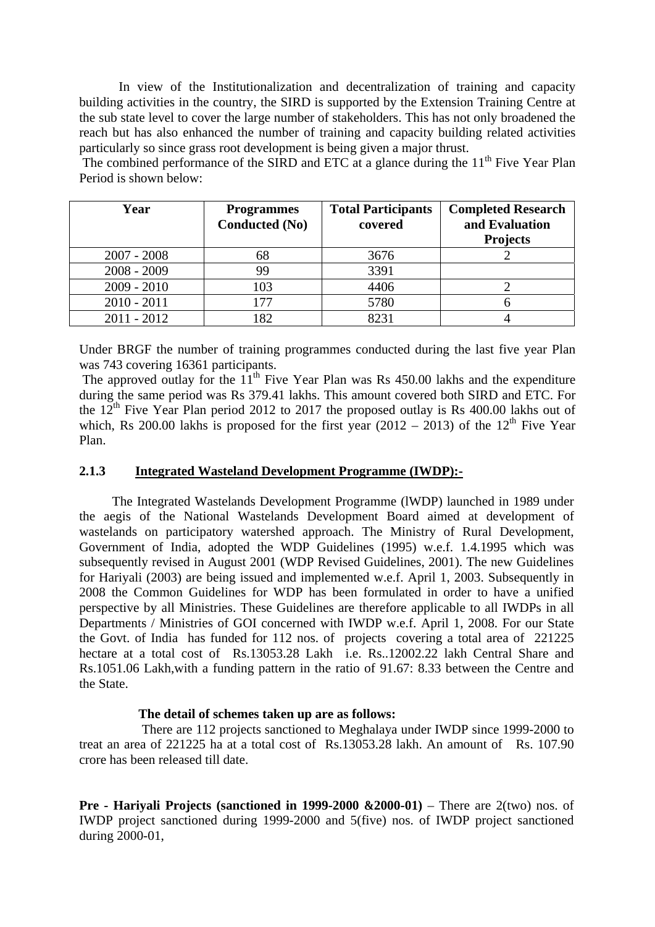In view of the Institutionalization and decentralization of training and capacity building activities in the country, the SIRD is supported by the Extension Training Centre at the sub state level to cover the large number of stakeholders. This has not only broadened the reach but has also enhanced the number of training and capacity building related activities particularly so since grass root development is being given a major thrust.

The combined performance of the SIRD and ETC at a glance during the  $11<sup>th</sup>$  Five Year Plan Period is shown below:

| Year          | <b>Programmes</b><br><b>Conducted (No)</b> | <b>Total Participants</b><br>covered | <b>Completed Research</b><br>and Evaluation<br><b>Projects</b> |
|---------------|--------------------------------------------|--------------------------------------|----------------------------------------------------------------|
| $2007 - 2008$ | 68                                         | 3676                                 |                                                                |
| $2008 - 2009$ | 99                                         | 3391                                 |                                                                |
| $2009 - 2010$ | 103                                        | 4406                                 |                                                                |
| $2010 - 2011$ | 177                                        | 5780                                 |                                                                |
| $2011 - 2012$ | 182                                        | 8231                                 |                                                                |

Under BRGF the number of training programmes conducted during the last five year Plan was 743 covering 16361 participants.

The approved outlay for the  $11<sup>th</sup>$  Five Year Plan was Rs 450.00 lakhs and the expenditure during the same period was Rs 379.41 lakhs. This amount covered both SIRD and ETC. For the  $12<sup>th</sup>$  Five Year Plan period 2012 to 2017 the proposed outlay is Rs 400.00 lakhs out of which, Rs 200.00 lakhs is proposed for the first year  $(2012 - 2013)$  of the 12<sup>th</sup> Five Year Plan.

#### **2.1.3 Integrated Wasteland Development Programme (IWDP):-**

 The Integrated Wastelands Development Programme (lWDP) launched in 1989 under the aegis of the National Wastelands Development Board aimed at development of wastelands on participatory watershed approach. The Ministry of Rural Development, Government of India, adopted the WDP Guidelines (1995) w.e.f. 1.4.1995 which was subsequently revised in August 2001 (WDP Revised Guidelines, 2001). The new Guidelines for Hariyali (2003) are being issued and implemented w.e.f. April 1, 2003. Subsequently in 2008 the Common Guidelines for WDP has been formulated in order to have a unified perspective by all Ministries. These Guidelines are therefore applicable to all IWDPs in all Departments / Ministries of GOI concerned with IWDP w.e.f. April 1, 2008. For our State the Govt. of India has funded for 112 nos. of projects covering a total area of 221225 hectare at a total cost of Rs.13053.28 Lakh i.e. Rs. 12002.22 lakh Central Share and Rs.1051.06 Lakh,with a funding pattern in the ratio of 91.67: 8.33 between the Centre and the State.

#### **The detail of schemes taken up are as follows:**

 There are 112 projects sanctioned to Meghalaya under IWDP since 1999-2000 to treat an area of 221225 ha at a total cost of Rs.13053.28 lakh. An amount of Rs. 107.90 crore has been released till date.

**Pre - Harivali Projects (sanctioned in 1999-2000 & 2000-01)** – There are 2(two) nos. of IWDP project sanctioned during 1999-2000 and 5(five) nos. of IWDP project sanctioned during 2000-01,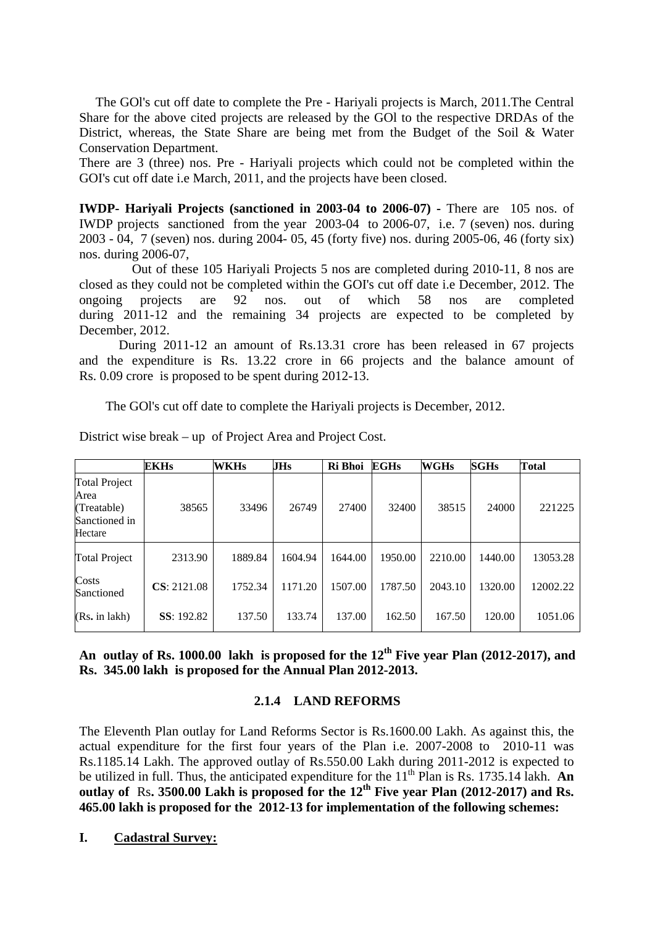The GOl's cut off date to complete the Pre - Hariyali projects is March, 2011.The Central Share for the above cited projects are released by the GOl to the respective DRDAs of the District, whereas, the State Share are being met from the Budget of the Soil & Water Conservation Department.

There are 3 (three) nos. Pre - Hariyali projects which could not be completed within the GOI's cut off date i.e March, 2011, and the projects have been closed.

**IWDP- Hariyali Projects (sanctioned in 2003-04 to 2006-07) -** There are 105 nos. of IWDP projects sanctioned from the year 2003-04 to 2006-07, i.e. 7 (seven) nos. during 2003 - 04, 7 (seven) nos. during 2004- 05, 45 (forty five) nos. during 2005-06, 46 (forty six) nos. during 2006-07,

 Out of these 105 Hariyali Projects 5 nos are completed during 2010-11, 8 nos are closed as they could not be completed within the GOI's cut off date i.e December, 2012. The ongoing projects are 92 nos. out of which 58 nos are completed during 2011-12 and the remaining 34 projects are expected to be completed by December, 2012.

 During 2011-12 an amount of Rs.13.31 crore has been released in 67 projects and the expenditure is Rs. 13.22 crore in 66 projects and the balance amount of Rs. 0.09 crore is proposed to be spent during 2012-13.

The GOl's cut off date to complete the Hariyali projects is December, 2012.

|                                                                         | <b>EKHs</b>        | <b>WKHs</b> | JHs     | Ri Bhoi | EGHs    | WGHs    | <b>SGHs</b> | <b>Total</b> |
|-------------------------------------------------------------------------|--------------------|-------------|---------|---------|---------|---------|-------------|--------------|
| <b>Total Project</b><br>Area<br>(Treatable)<br>Sanctioned in<br>Hectare | 38565              | 33496       | 26749   | 27400   | 32400   | 38515   | 24000       | 221225       |
| <b>Total Project</b>                                                    | 2313.90            | 1889.84     | 1604.94 | 1644.00 | 1950.00 | 2210.00 | 1440.00     | 13053.28     |
| Costs<br>Sanctioned                                                     | CS: 2121.08        | 1752.34     | 1171.20 | 1507.00 | 1787.50 | 2043.10 | 1320.00     | 12002.22     |
| (Rs. in lakh)                                                           | <b>SS</b> : 192.82 | 137.50      | 133.74  | 137.00  | 162.50  | 167.50  | 120.00      | 1051.06      |

District wise break – up of Project Area and Project Cost.

**An outlay of Rs. 1000.00 lakh is proposed for the 12th Five year Plan (2012-2017), and Rs. 345.00 lakh is proposed for the Annual Plan 2012-2013.**

#### **2.1.4 LAND REFORMS**

The Eleventh Plan outlay for Land Reforms Sector is Rs.1600.00 Lakh. As against this, the actual expenditure for the first four years of the Plan i.e. 2007-2008 to 2010-11 was Rs.1185.14 Lakh. The approved outlay of Rs.550.00 Lakh during 2011-2012 is expected to be utilized in full. Thus, the anticipated expenditure for the  $11<sup>th</sup>$  Plan is Rs. 1735.14 lakh. **An** outlay of Rs. 3500.00 Lakh is proposed for the 12<sup>th</sup> Five year Plan (2012-2017) and Rs. **465.00 lakh is proposed for the 2012-13 for implementation of the following schemes:** 

**I. Cadastral Survey:**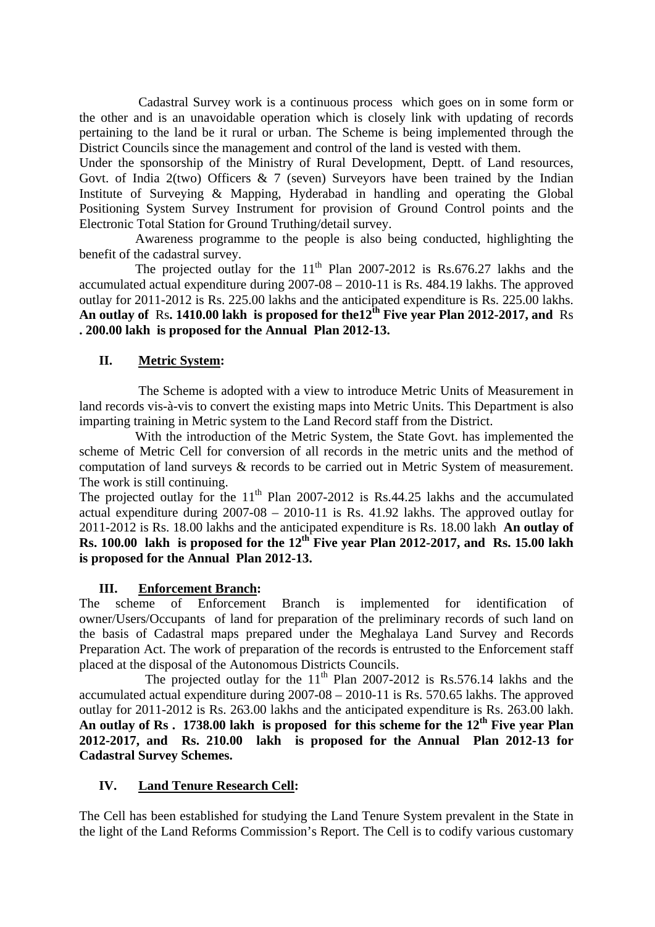Cadastral Survey work is a continuous process which goes on in some form or the other and is an unavoidable operation which is closely link with updating of records pertaining to the land be it rural or urban. The Scheme is being implemented through the District Councils since the management and control of the land is vested with them.

Under the sponsorship of the Ministry of Rural Development, Deptt. of Land resources, Govt. of India 2(two) Officers  $\& 7$  (seven) Surveyors have been trained by the Indian Institute of Surveying & Mapping, Hyderabad in handling and operating the Global Positioning System Survey Instrument for provision of Ground Control points and the Electronic Total Station for Ground Truthing/detail survey.

 Awareness programme to the people is also being conducted, highlighting the benefit of the cadastral survey.

The projected outlay for the  $11<sup>th</sup>$  Plan 2007-2012 is Rs.676.27 lakhs and the accumulated actual expenditure during 2007-08 – 2010-11 is Rs. 484.19 lakhs. The approved outlay for 2011-2012 is Rs. 225.00 lakhs and the anticipated expenditure is Rs. 225.00 lakhs. **An outlay of** Rs**. 1410.00 lakh is proposed for the12th Five year Plan 2012-2017, and** Rs **. 200.00 lakh is proposed for the Annual Plan 2012-13.** 

#### **II. Metric System:**

 The Scheme is adopted with a view to introduce Metric Units of Measurement in land records vis-à-vis to convert the existing maps into Metric Units. This Department is also imparting training in Metric system to the Land Record staff from the District.

 With the introduction of the Metric System, the State Govt. has implemented the scheme of Metric Cell for conversion of all records in the metric units and the method of computation of land surveys & records to be carried out in Metric System of measurement. The work is still continuing.

The projected outlay for the  $11<sup>th</sup>$  Plan 2007-2012 is Rs.44.25 lakhs and the accumulated actual expenditure during 2007-08 – 2010-11 is Rs. 41.92 lakhs. The approved outlay for 2011-2012 is Rs. 18.00 lakhs and the anticipated expenditure is Rs. 18.00 lakh **An outlay of Rs. 100.00 lakh is proposed for the 12<sup>th</sup> Five year Plan 2012-2017, and Rs. 15.00 lakh is proposed for the Annual Plan 2012-13.** 

#### **III. Enforcement Branch:**

The scheme of Enforcement Branch is implemented for identification of owner/Users/Occupants of land for preparation of the preliminary records of such land on the basis of Cadastral maps prepared under the Meghalaya Land Survey and Records Preparation Act. The work of preparation of the records is entrusted to the Enforcement staff placed at the disposal of the Autonomous Districts Councils.

The projected outlay for the  $11<sup>th</sup>$  Plan 2007-2012 is Rs.576.14 lakhs and the accumulated actual expenditure during 2007-08 – 2010-11 is Rs. 570.65 lakhs. The approved outlay for 2011-2012 is Rs. 263.00 lakhs and the anticipated expenditure is Rs. 263.00 lakh. An outlay of Rs . 1738.00 lakh is proposed for this scheme for the 12<sup>th</sup> Five year Plan **2012-2017, and Rs. 210.00 lakh is proposed for the Annual Plan 2012-13 for Cadastral Survey Schemes.** 

#### **IV. Land Tenure Research Cell:**

The Cell has been established for studying the Land Tenure System prevalent in the State in the light of the Land Reforms Commission's Report. The Cell is to codify various customary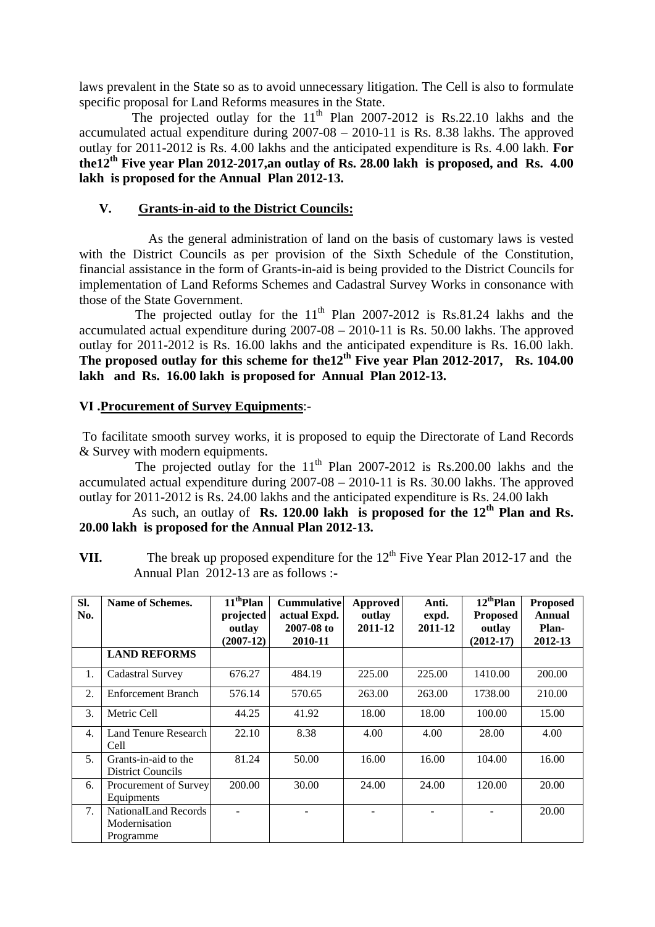laws prevalent in the State so as to avoid unnecessary litigation. The Cell is also to formulate specific proposal for Land Reforms measures in the State.

The projected outlay for the  $11<sup>th</sup>$  Plan 2007-2012 is Rs.22.10 lakhs and the accumulated actual expenditure during 2007-08 – 2010-11 is Rs. 8.38 lakhs. The approved outlay for 2011-2012 is Rs. 4.00 lakhs and the anticipated expenditure is Rs. 4.00 lakh. **For**  the12<sup>th</sup> Five year Plan 2012-2017, an outlay of Rs. 28.00 lakh is proposed, and Rs. 4.00 **lakh is proposed for the Annual Plan 2012-13.** 

### **V. Grants-in-aid to the District Councils:**

 As the general administration of land on the basis of customary laws is vested with the District Councils as per provision of the Sixth Schedule of the Constitution, financial assistance in the form of Grants-in-aid is being provided to the District Councils for implementation of Land Reforms Schemes and Cadastral Survey Works in consonance with those of the State Government.

The projected outlay for the  $11<sup>th</sup>$  Plan 2007-2012 is Rs.81.24 lakhs and the accumulated actual expenditure during 2007-08 – 2010-11 is Rs. 50.00 lakhs. The approved outlay for 2011-2012 is Rs. 16.00 lakhs and the anticipated expenditure is Rs. 16.00 lakh. **The proposed outlay for this scheme for the12th Five year Plan 2012-2017, Rs. 104.00 lakh and Rs. 16.00 lakh is proposed for Annual Plan 2012-13.** 

### **VI .Procurement of Survey Equipments**:-

 To facilitate smooth survey works, it is proposed to equip the Directorate of Land Records & Survey with modern equipments.

The projected outlay for the  $11<sup>th</sup>$  Plan 2007-2012 is Rs.200.00 lakhs and the accumulated actual expenditure during 2007-08 – 2010-11 is Rs. 30.00 lakhs. The approved outlay for 2011-2012 is Rs. 24.00 lakhs and the anticipated expenditure is Rs. 24.00 lakh

 As such, an outlay of **Rs. 120.00 lakh is proposed for the 12th Plan and Rs. 20.00 lakh is proposed for the Annual Plan 2012-13.** 

**VII.** The break up proposed expenditure for the  $12<sup>th</sup>$  Five Year Plan 2012-17 and the Annual Plan 2012-13 are as follows :**-** 

| SI.<br>No. | Name of Schemes.                                   | $11^{th}$ Plan<br>projected<br>outlay | <b>Cummulative</b><br>actual Expd.<br>2007-08 to | Approved<br>outlay<br>2011-12 | Anti.<br>expd.<br>2011-12 | $12^{th}$ Plan<br><b>Proposed</b><br>outlay | <b>Proposed</b><br><b>Annual</b><br>Plan- |
|------------|----------------------------------------------------|---------------------------------------|--------------------------------------------------|-------------------------------|---------------------------|---------------------------------------------|-------------------------------------------|
|            |                                                    | $(2007-12)$                           | 2010-11                                          |                               |                           | $(2012-17)$                                 | 2012-13                                   |
|            | <b>LAND REFORMS</b>                                |                                       |                                                  |                               |                           |                                             |                                           |
| 1.         | Cadastral Survey                                   | 676.27                                | 484.19                                           | 225.00                        | 225.00                    | 1410.00                                     | 200.00                                    |
| 2.         | <b>Enforcement Branch</b>                          | 576.14                                | 570.65                                           | 263.00                        | 263.00                    | 1738.00                                     | 210.00                                    |
| 3.         | Metric Cell                                        | 44.25                                 | 41.92                                            | 18.00                         | 18.00                     | 100.00                                      | 15.00                                     |
| 4.         | Land Tenure Research<br>Cell                       | 22.10                                 | 8.38                                             | 4.00                          | 4.00                      | 28.00                                       | 4.00                                      |
| 5.         | Grants-in-aid to the<br><b>District Councils</b>   | 81.24                                 | 50.00                                            | 16.00                         | 16.00                     | 104.00                                      | 16.00                                     |
| 6.         | <b>Procurement of Survey</b><br>Equipments         | 200.00                                | 30.00                                            | 24.00                         | 24.00                     | 120.00                                      | 20.00                                     |
| 7.         | NationalLand Records<br>Modernisation<br>Programme |                                       |                                                  |                               |                           |                                             | 20.00                                     |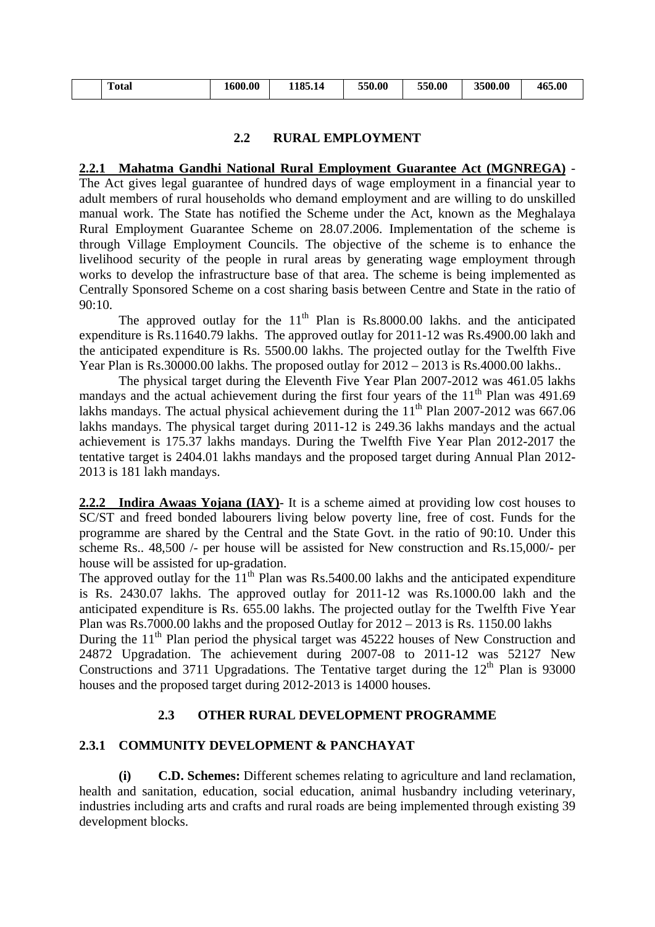| $\overline{\phantom{a}}$<br>Total | 600.00 | 1185.14 | 550.00 | 550.00 | 3500.00 | 465.00 |
|-----------------------------------|--------|---------|--------|--------|---------|--------|
|                                   |        |         |        |        |         |        |

## **2.2 RURAL EMPLOYMENT**

### **2.2.1 Mahatma Gandhi National Rural Employment Guarantee Act (MGNREGA)** -

The Act gives legal guarantee of hundred days of wage employment in a financial year to adult members of rural households who demand employment and are willing to do unskilled manual work. The State has notified the Scheme under the Act, known as the Meghalaya Rural Employment Guarantee Scheme on 28.07.2006. Implementation of the scheme is through Village Employment Councils. The objective of the scheme is to enhance the livelihood security of the people in rural areas by generating wage employment through works to develop the infrastructure base of that area. The scheme is being implemented as Centrally Sponsored Scheme on a cost sharing basis between Centre and State in the ratio of 90:10.

The approved outlay for the  $11<sup>th</sup>$  Plan is Rs.8000.00 lakhs. and the anticipated expenditure is Rs.11640.79 lakhs. The approved outlay for 2011-12 was Rs.4900.00 lakh and the anticipated expenditure is Rs. 5500.00 lakhs. The projected outlay for the Twelfth Five Year Plan is Rs.30000.00 lakhs. The proposed outlay for 2012 – 2013 is Rs.4000.00 lakhs..

 The physical target during the Eleventh Five Year Plan 2007-2012 was 461.05 lakhs mandays and the actual achievement during the first four years of the  $11<sup>th</sup>$  Plan was 491.69 lakhs mandays. The actual physical achievement during the  $11<sup>th</sup>$  Plan 2007-2012 was 667.06 lakhs mandays. The physical target during 2011-12 is 249.36 lakhs mandays and the actual achievement is 175.37 lakhs mandays. During the Twelfth Five Year Plan 2012-2017 the tentative target is 2404.01 lakhs mandays and the proposed target during Annual Plan 2012- 2013 is 181 lakh mandays.

**2.2.2 Indira Awaas Yojana (IAY)**- It is a scheme aimed at providing low cost houses to SC/ST and freed bonded labourers living below poverty line, free of cost. Funds for the programme are shared by the Central and the State Govt. in the ratio of 90:10. Under this scheme Rs.. 48,500 /- per house will be assisted for New construction and Rs.15,000/- per house will be assisted for up-gradation.

The approved outlay for the  $11<sup>th</sup>$  Plan was Rs.5400.00 lakhs and the anticipated expenditure is Rs. 2430.07 lakhs. The approved outlay for 2011-12 was Rs.1000.00 lakh and the anticipated expenditure is Rs. 655.00 lakhs. The projected outlay for the Twelfth Five Year Plan was Rs.7000.00 lakhs and the proposed Outlay for  $2012 - 2013$  is Rs. 1150.00 lakhs During the  $11<sup>th</sup>$  Plan period the physical target was 45222 houses of New Construction and 24872 Upgradation. The achievement during 2007-08 to 2011-12 was 52127 New Constructions and 3711 Upgradations. The Tentative target during the  $12<sup>th</sup>$  Plan is 93000 houses and the proposed target during 2012-2013 is 14000 houses.

## **2.3 OTHER RURAL DEVELOPMENT PROGRAMME**

## **2.3.1 COMMUNITY DEVELOPMENT & PANCHAYAT**

 **(i) C.D. Schemes:** Different schemes relating to agriculture and land reclamation, health and sanitation, education, social education, animal husbandry including veterinary, industries including arts and crafts and rural roads are being implemented through existing 39 development blocks.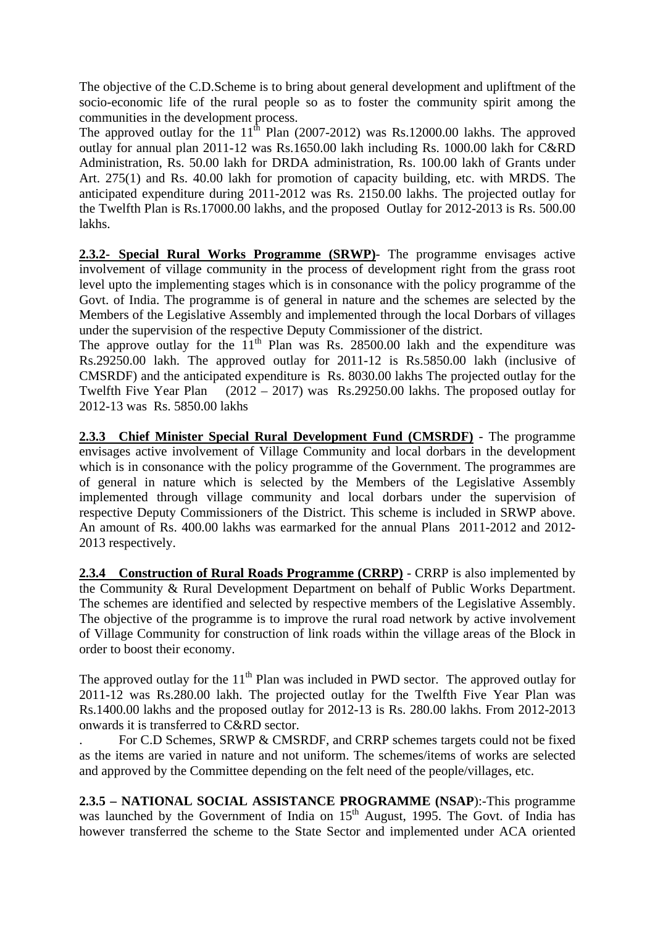The objective of the C.D.Scheme is to bring about general development and upliftment of the socio-economic life of the rural people so as to foster the community spirit among the communities in the development process.

The approved outlay for the  $11^{th}$  Plan (2007-2012) was Rs.12000.00 lakhs. The approved outlay for annual plan 2011-12 was Rs.1650.00 lakh including Rs. 1000.00 lakh for C&RD Administration, Rs. 50.00 lakh for DRDA administration, Rs. 100.00 lakh of Grants under Art. 275(1) and Rs. 40.00 lakh for promotion of capacity building, etc. with MRDS. The anticipated expenditure during 2011-2012 was Rs. 2150.00 lakhs. The projected outlay for the Twelfth Plan is Rs.17000.00 lakhs, and the proposed Outlay for 2012-2013 is Rs. 500.00 lakhs.

**2.3.2- Special Rural Works Programme (SRWP)**- The programme envisages active involvement of village community in the process of development right from the grass root level upto the implementing stages which is in consonance with the policy programme of the Govt. of India. The programme is of general in nature and the schemes are selected by the Members of the Legislative Assembly and implemented through the local Dorbars of villages under the supervision of the respective Deputy Commissioner of the district.

The approve outlay for the  $11<sup>th</sup>$  Plan was Rs. 28500.00 lakh and the expenditure was Rs.29250.00 lakh. The approved outlay for 2011-12 is Rs.5850.00 lakh (inclusive of CMSRDF) and the anticipated expenditure is Rs. 8030.00 lakhs The projected outlay for the Twelfth Five Year Plan (2012 – 2017) was Rs.29250.00 lakhs. The proposed outlay for 2012-13 was Rs. 5850.00 lakhs

**2.3.3 Chief Minister Special Rural Development Fund (CMSRDF)** - The programme envisages active involvement of Village Community and local dorbars in the development which is in consonance with the policy programme of the Government. The programmes are of general in nature which is selected by the Members of the Legislative Assembly implemented through village community and local dorbars under the supervision of respective Deputy Commissioners of the District. This scheme is included in SRWP above. An amount of Rs. 400.00 lakhs was earmarked for the annual Plans 2011-2012 and 2012- 2013 respectively.

**2.3.4 Construction of Rural Roads Programme (CRRP)** - CRRP is also implemented by the Community & Rural Development Department on behalf of Public Works Department. The schemes are identified and selected by respective members of the Legislative Assembly. The objective of the programme is to improve the rural road network by active involvement of Village Community for construction of link roads within the village areas of the Block in order to boost their economy.

The approved outlay for the  $11<sup>th</sup>$  Plan was included in PWD sector. The approved outlay for 2011-12 was Rs.280.00 lakh. The projected outlay for the Twelfth Five Year Plan was Rs.1400.00 lakhs and the proposed outlay for 2012-13 is Rs. 280.00 lakhs. From 2012-2013 onwards it is transferred to C&RD sector.

. For C.D Schemes, SRWP & CMSRDF, and CRRP schemes targets could not be fixed as the items are varied in nature and not uniform. The schemes/items of works are selected and approved by the Committee depending on the felt need of the people/villages, etc.

**2.3.5 – NATIONAL SOCIAL ASSISTANCE PROGRAMME (NSAP**):-This programme was launched by the Government of India on  $15<sup>th</sup>$  August, 1995. The Govt. of India has however transferred the scheme to the State Sector and implemented under ACA oriented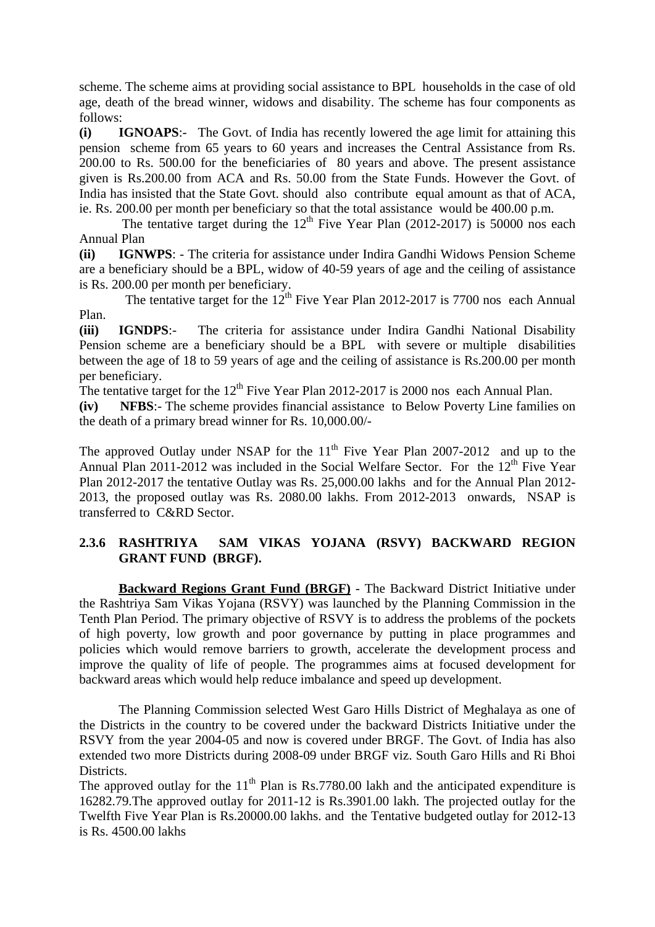scheme. The scheme aims at providing social assistance to BPL households in the case of old age, death of the bread winner, widows and disability. The scheme has four components as follows:

**(i) IGNOAPS**:- The Govt. of India has recently lowered the age limit for attaining this pension scheme from 65 years to 60 years and increases the Central Assistance from Rs. 200.00 to Rs. 500.00 for the beneficiaries of 80 years and above. The present assistance given is Rs.200.00 from ACA and Rs. 50.00 from the State Funds. However the Govt. of India has insisted that the State Govt. should also contribute equal amount as that of ACA, ie. Rs. 200.00 per month per beneficiary so that the total assistance would be 400.00 p.m.

The tentative target during the  $12<sup>th</sup>$  Five Year Plan (2012-2017) is 50000 nos each Annual Plan

**(ii) IGNWPS**: - The criteria for assistance under Indira Gandhi Widows Pension Scheme are a beneficiary should be a BPL, widow of 40-59 years of age and the ceiling of assistance is Rs. 200.00 per month per beneficiary.

The tentative target for the  $12^{th}$  Five Year Plan 2012-2017 is 7700 nos each Annual Plan.

**(iii) IGNDPS**:- The criteria for assistance under Indira Gandhi National Disability Pension scheme are a beneficiary should be a BPL with severe or multiple disabilities between the age of 18 to 59 years of age and the ceiling of assistance is Rs.200.00 per month per beneficiary.

The tentative target for the  $12<sup>th</sup>$  Five Year Plan 2012-2017 is 2000 nos each Annual Plan.

**(iv) NFBS**:- The scheme provides financial assistance to Below Poverty Line families on the death of a primary bread winner for Rs. 10,000.00/-

The approved Outlay under NSAP for the  $11<sup>th</sup>$  Five Year Plan 2007-2012 and up to the Annual Plan 2011-2012 was included in the Social Welfare Sector. For the  $12<sup>th</sup>$  Five Year Plan 2012-2017 the tentative Outlay was Rs. 25,000.00 lakhs and for the Annual Plan 2012- 2013, the proposed outlay was Rs. 2080.00 lakhs. From 2012-2013 onwards, NSAP is transferred to C&RD Sector.

## **2.3.6 RASHTRIYA SAM VIKAS YOJANA (RSVY) BACKWARD REGION GRANT FUND (BRGF).**

 **Backward Regions Grant Fund (BRGF)** - The Backward District Initiative under the Rashtriya Sam Vikas Yojana (RSVY) was launched by the Planning Commission in the Tenth Plan Period. The primary objective of RSVY is to address the problems of the pockets of high poverty, low growth and poor governance by putting in place programmes and policies which would remove barriers to growth, accelerate the development process and improve the quality of life of people. The programmes aims at focused development for backward areas which would help reduce imbalance and speed up development.

 The Planning Commission selected West Garo Hills District of Meghalaya as one of the Districts in the country to be covered under the backward Districts Initiative under the RSVY from the year 2004-05 and now is covered under BRGF. The Govt. of India has also extended two more Districts during 2008-09 under BRGF viz. South Garo Hills and Ri Bhoi Districts.

The approved outlay for the  $11<sup>th</sup>$  Plan is Rs.7780.00 lakh and the anticipated expenditure is 16282.79.The approved outlay for 2011-12 is Rs.3901.00 lakh. The projected outlay for the Twelfth Five Year Plan is Rs.20000.00 lakhs. and the Tentative budgeted outlay for 2012-13 is Rs. 4500.00 lakhs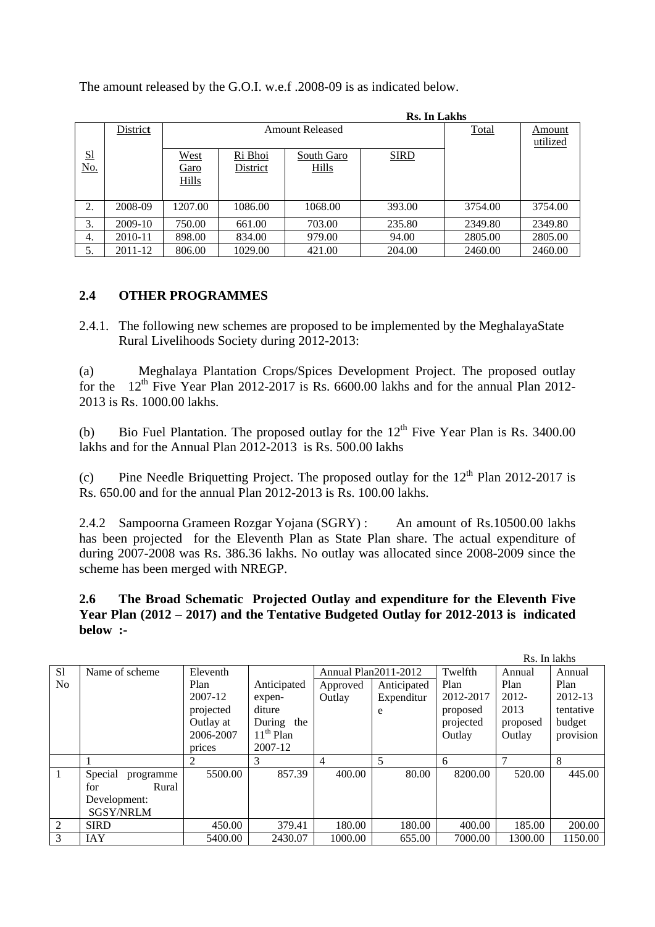|           |          | <b>Rs. In Lakhs</b> |                        |              |             |         |          |  |  |  |
|-----------|----------|---------------------|------------------------|--------------|-------------|---------|----------|--|--|--|
|           | District |                     | <b>Amount Released</b> | <b>Total</b> | Amount      |         |          |  |  |  |
|           |          |                     |                        |              |             |         | utilized |  |  |  |
| <u>S1</u> |          | West                | Ri Bhoi                | South Garo   | <b>SIRD</b> |         |          |  |  |  |
| No.       |          | <u>Garo</u>         | District               | <b>Hills</b> |             |         |          |  |  |  |
|           |          | <b>Hills</b>        |                        |              |             |         |          |  |  |  |
|           |          |                     |                        |              |             |         |          |  |  |  |
| 2.        | 2008-09  | 1207.00             | 1086.00                | 1068.00      | 393.00      | 3754.00 | 3754.00  |  |  |  |
| 3.        | 2009-10  | 750.00              | 661.00                 | 703.00       | 235.80      | 2349.80 | 2349.80  |  |  |  |
| 4.        | 2010-11  | 898.00              | 834.00                 | 979.00       | 94.00       | 2805.00 | 2805.00  |  |  |  |
| 5.        | 2011-12  | 806.00              | 1029.00                | 421.00       | 204.00      | 2460.00 | 2460.00  |  |  |  |

The amount released by the G.O.I. w.e.f .2008-09 is as indicated below.

## **2.4 OTHER PROGRAMMES**

2.4.1. The following new schemes are proposed to be implemented by the MeghalayaState Rural Livelihoods Society during 2012-2013:

(a) Meghalaya Plantation Crops/Spices Development Project. The proposed outlay for the  $12<sup>th</sup>$  Five Year Plan 2012-2017 is Rs. 6600.00 lakhs and for the annual Plan 2012-2013 is Rs. 1000.00 lakhs.

(b) Bio Fuel Plantation. The proposed outlay for the  $12<sup>th</sup>$  Five Year Plan is Rs. 3400.00 lakhs and for the Annual Plan 2012-2013 is Rs. 500.00 lakhs

(c) Pine Needle Briquetting Project. The proposed outlay for the  $12<sup>th</sup>$  Plan 2012-2017 is Rs. 650.00 and for the annual Plan 2012-2013 is Rs. 100.00 lakhs.

2.4.2 Sampoorna Grameen Rozgar Yojana (SGRY) : An amount of Rs.10500.00 lakhs has been projected for the Eleventh Plan as State Plan share. The actual expenditure of during 2007-2008 was Rs. 386.36 lakhs. No outlay was allocated since 2008-2009 since the scheme has been merged with NREGP.

**2.6 The Broad Schematic Projected Outlay and expenditure for the Eleventh Five Year Plan (2012 – 2017) and the Tentative Budgeted Outlay for 2012-2013 is indicated below :-** 

|                | Rs. In lakhs         |           |               |          |                             |           |          |           |  |  |
|----------------|----------------------|-----------|---------------|----------|-----------------------------|-----------|----------|-----------|--|--|
| <sub>S1</sub>  | Name of scheme       | Eleventh  |               |          | <b>Annual Plan2011-2012</b> | Twelfth   | Annual   | Annual    |  |  |
| N <sub>o</sub> |                      | Plan      | Anticipated   | Approved | Anticipated                 | Plan      | Plan     | Plan      |  |  |
|                |                      | 2007-12   | expen-        | Outlay   | Expenditur                  | 2012-2017 | 2012-    | 2012-13   |  |  |
|                |                      | projected | diture        |          | e                           | proposed  | 2013     | tentative |  |  |
|                |                      | Outlay at | During<br>the |          |                             | projected | proposed | budget    |  |  |
|                |                      | 2006-2007 | $11th$ Plan   |          |                             | Outlay    | Outlay   | provision |  |  |
|                |                      | prices    | 2007-12       |          |                             |           |          |           |  |  |
|                |                      |           | 3             | 4        | 5                           | 6         |          | 8         |  |  |
| -1             | Special<br>programme | 5500.00   | 857.39        | 400.00   | 80.00                       | 8200.00   | 520.00   | 445.00    |  |  |
|                | Rural<br>for         |           |               |          |                             |           |          |           |  |  |
|                | Development:         |           |               |          |                             |           |          |           |  |  |
|                | <b>SGSY/NRLM</b>     |           |               |          |                             |           |          |           |  |  |
| $\overline{2}$ | <b>SIRD</b>          | 450.00    | 379.41        | 180.00   | 180.00                      | 400.00    | 185.00   | 200.00    |  |  |
| 3              | <b>IAY</b>           | 5400.00   | 2430.07       | 1000.00  | 655.00                      | 7000.00   | 1300.00  | 1150.00   |  |  |